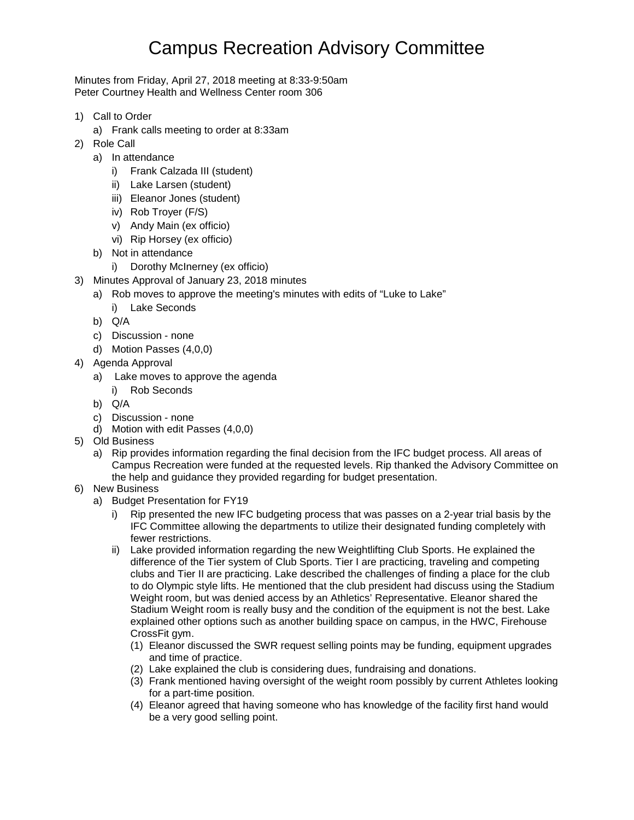## Campus Recreation Advisory Committee

Minutes from Friday, April 27, 2018 meeting at 8:33-9:50am Peter Courtney Health and Wellness Center room 306

- 1) Call to Order
	- a) Frank calls meeting to order at 8:33am
- 2) Role Call
	- a) In attendance
		- i) Frank Calzada III (student)
		- ii) Lake Larsen (student)
		- iii) Eleanor Jones (student)
		- iv) Rob Troyer (F/S)
		- v) Andy Main (ex officio)
		- vi) Rip Horsey (ex officio)
	- b) Not in attendance
		- i) Dorothy McInerney (ex officio)
- 3) Minutes Approval of January 23, 2018 minutes
	- a) Rob moves to approve the meeting's minutes with edits of "Luke to Lake"
		- i) Lake Seconds
	- b) Q/A
	- c) Discussion none
	- d) Motion Passes (4,0,0)
- 4) Agenda Approval
	- a) Lake moves to approve the agenda
	- i) Rob Seconds
	- b) Q/A
	- c) Discussion none
	- d) Motion with edit Passes (4,0,0)
- 5) Old Business
	- a) Rip provides information regarding the final decision from the IFC budget process. All areas of Campus Recreation were funded at the requested levels. Rip thanked the Advisory Committee on the help and guidance they provided regarding for budget presentation.
- 6) New Business
	- a) Budget Presentation for FY19
		- i) Rip presented the new IFC budgeting process that was passes on a 2-year trial basis by the IFC Committee allowing the departments to utilize their designated funding completely with fewer restrictions.
		- ii) Lake provided information regarding the new Weightlifting Club Sports. He explained the difference of the Tier system of Club Sports. Tier I are practicing, traveling and competing clubs and Tier II are practicing. Lake described the challenges of finding a place for the club to do Olympic style lifts. He mentioned that the club president had discuss using the Stadium Weight room, but was denied access by an Athletics' Representative. Eleanor shared the Stadium Weight room is really busy and the condition of the equipment is not the best. Lake explained other options such as another building space on campus, in the HWC, Firehouse CrossFit gym.
			- (1) Eleanor discussed the SWR request selling points may be funding, equipment upgrades and time of practice.
			- (2) Lake explained the club is considering dues, fundraising and donations.
			- (3) Frank mentioned having oversight of the weight room possibly by current Athletes looking for a part-time position.
			- (4) Eleanor agreed that having someone who has knowledge of the facility first hand would be a very good selling point.